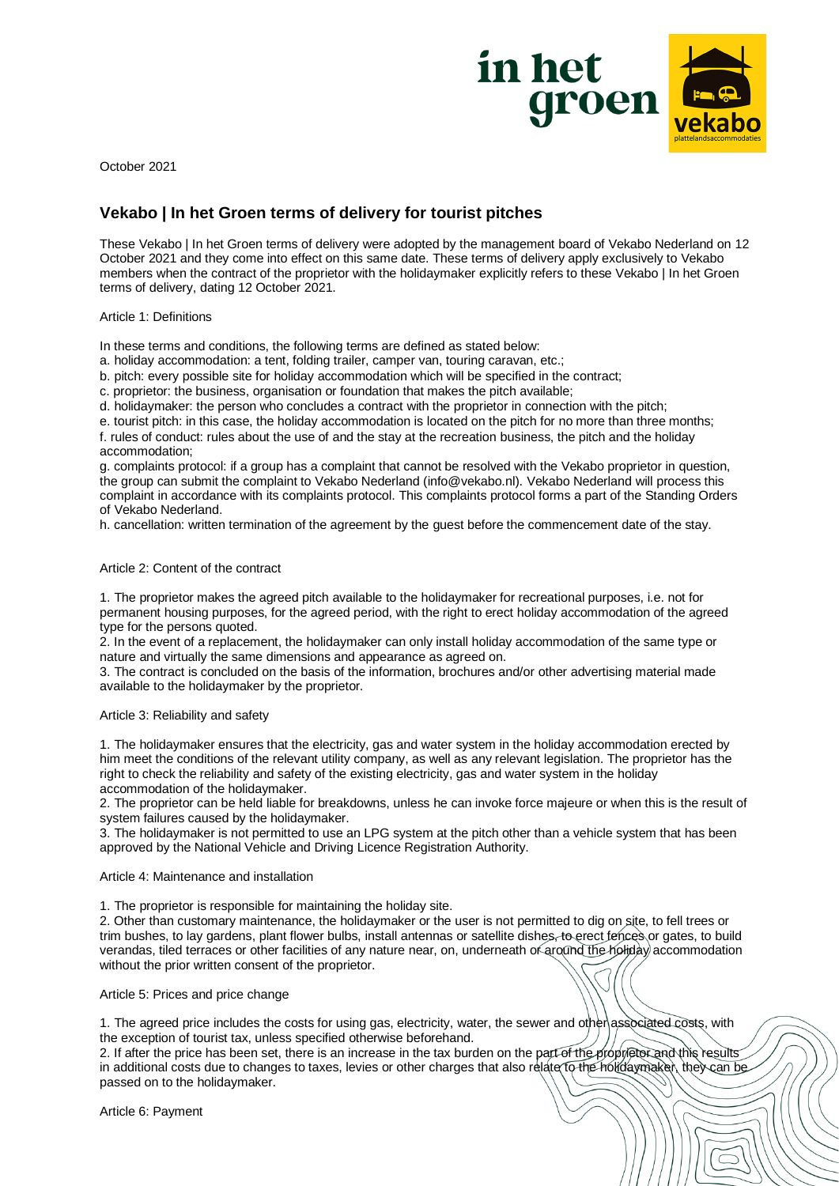

October 2021

# **Vekabo | In het Groen terms of delivery for tourist pitches**

These Vekabo | In het Groen terms of delivery were adopted by the management board of Vekabo Nederland on 12 October 2021 and they come into effect on this same date. These terms of delivery apply exclusively to Vekabo members when the contract of the proprietor with the holidaymaker explicitly refers to these Vekabo | In het Groen terms of delivery, dating 12 October 2021.

# Article 1: Definitions

In these terms and conditions, the following terms are defined as stated below:

a. holiday accommodation: a tent, folding trailer, camper van, touring caravan, etc.;

b. pitch: every possible site for holiday accommodation which will be specified in the contract;

c. proprietor: the business, organisation or foundation that makes the pitch available;

d. holidaymaker: the person who concludes a contract with the proprietor in connection with the pitch;

e. tourist pitch: in this case, the holiday accommodation is located on the pitch for no more than three months; f. rules of conduct: rules about the use of and the stay at the recreation business, the pitch and the holiday accommodation;

g. complaints protocol: if a group has a complaint that cannot be resolved with the Vekabo proprietor in question, the group can submit the complaint to Vekabo Nederland (info@vekabo.nl). Vekabo Nederland will process this complaint in accordance with its complaints protocol. This complaints protocol forms a part of the Standing Orders of Vekabo Nederland.

h. cancellation: written termination of the agreement by the guest before the commencement date of the stay.

## Article 2: Content of the contract

1. The proprietor makes the agreed pitch available to the holidaymaker for recreational purposes, i.e. not for permanent housing purposes, for the agreed period, with the right to erect holiday accommodation of the agreed type for the persons quoted.

2. In the event of a replacement, the holidaymaker can only install holiday accommodation of the same type or nature and virtually the same dimensions and appearance as agreed on.

3. The contract is concluded on the basis of the information, brochures and/or other advertising material made available to the holidaymaker by the proprietor.

#### Article 3: Reliability and safety

1. The holidaymaker ensures that the electricity, gas and water system in the holiday accommodation erected by him meet the conditions of the relevant utility company, as well as any relevant legislation. The proprietor has the right to check the reliability and safety of the existing electricity, gas and water system in the holiday accommodation of the holidaymaker.

2. The proprietor can be held liable for breakdowns, unless he can invoke force majeure or when this is the result of system failures caused by the holidaymaker.

3. The holidaymaker is not permitted to use an LPG system at the pitch other than a vehicle system that has been approved by the National Vehicle and Driving Licence Registration Authority.

#### Article 4: Maintenance and installation

1. The proprietor is responsible for maintaining the holiday site.

2. Other than customary maintenance, the holidaymaker or the user is not permitted to dig on site, to fell trees or trim bushes, to lay gardens, plant flower bulbs, install antennas or satellite dishes, to erect fences or gates, to build verandas, tiled terraces or other facilities of any nature near, on, underneath of around the holiday accommodation without the prior written consent of the proprietor.

Article 5: Prices and price change

1. The agreed price includes the costs for using gas, electricity, water, the sewer and other associated costs, with the exception of tourist tax, unless specified otherwise beforehand.

2. If after the price has been set, there is an increase in the tax burden on the part of the proprietor and this results in additional costs due to changes to taxes, levies or other charges that also relate to the holidaymaker, they can be passed on to the holidaymaker.

Article 6: Payment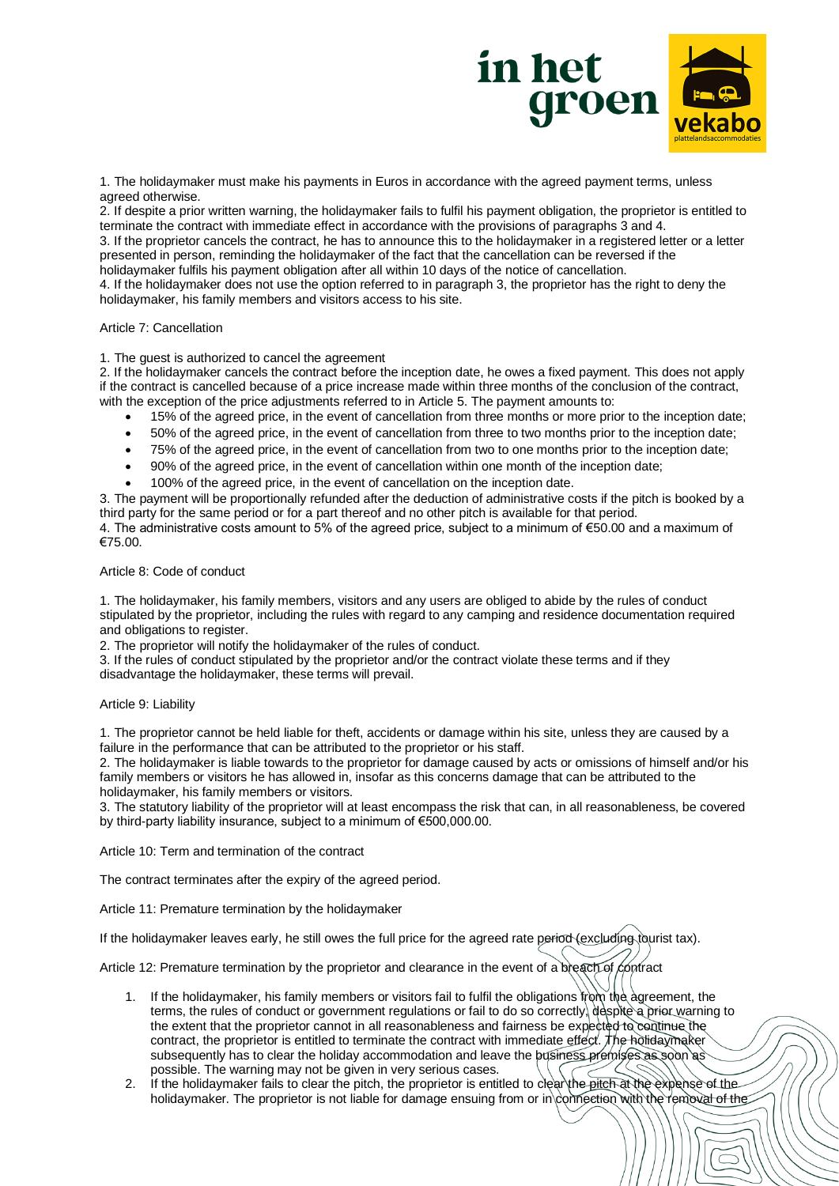

1. The holidaymaker must make his payments in Euros in accordance with the agreed payment terms, unless agreed otherwise.

2. If despite a prior written warning, the holidaymaker fails to fulfil his payment obligation, the proprietor is entitled to terminate the contract with immediate effect in accordance with the provisions of paragraphs 3 and 4. 3. If the proprietor cancels the contract, he has to announce this to the holidaymaker in a registered letter or a letter

presented in person, reminding the holidaymaker of the fact that the cancellation can be reversed if the holidaymaker fulfils his payment obligation after all within 10 days of the notice of cancellation.

4. If the holidaymaker does not use the option referred to in paragraph 3, the proprietor has the right to deny the holidaymaker, his family members and visitors access to his site.

# Article 7: Cancellation

1. The guest is authorized to cancel the agreement

2. If the holidaymaker cancels the contract before the inception date, he owes a fixed payment. This does not apply if the contract is cancelled because of a price increase made within three months of the conclusion of the contract, with the exception of the price adjustments referred to in Article 5. The payment amounts to:

- 15% of the agreed price, in the event of cancellation from three months or more prior to the inception date;
- 50% of the agreed price, in the event of cancellation from three to two months prior to the inception date;
- 75% of the agreed price, in the event of cancellation from two to one months prior to the inception date;
- 90% of the agreed price, in the event of cancellation within one month of the inception date;
- 100% of the agreed price, in the event of cancellation on the inception date.

3. The payment will be proportionally refunded after the deduction of administrative costs if the pitch is booked by a third party for the same period or for a part thereof and no other pitch is available for that period.

4. The administrative costs amount to 5% of the agreed price, subject to a minimum of €50.00 and a maximum of €75.00.

## Article 8: Code of conduct

1. The holidaymaker, his family members, visitors and any users are obliged to abide by the rules of conduct stipulated by the proprietor, including the rules with regard to any camping and residence documentation required and obligations to register.

2. The proprietor will notify the holidaymaker of the rules of conduct.

3. If the rules of conduct stipulated by the proprietor and/or the contract violate these terms and if they disadvantage the holidaymaker, these terms will prevail.

## Article 9: Liability

1. The proprietor cannot be held liable for theft, accidents or damage within his site, unless they are caused by a failure in the performance that can be attributed to the proprietor or his staff.

2. The holidaymaker is liable towards to the proprietor for damage caused by acts or omissions of himself and/or his family members or visitors he has allowed in, insofar as this concerns damage that can be attributed to the holidaymaker, his family members or visitors.

3. The statutory liability of the proprietor will at least encompass the risk that can, in all reasonableness, be covered by third-party liability insurance, subject to a minimum of €500,000.00.

Article 10: Term and termination of the contract

The contract terminates after the expiry of the agreed period.

Article 11: Premature termination by the holidaymaker

If the holidaymaker leaves early, he still owes the full price for the agreed rate period (excluding tourist tax).

Article 12: Premature termination by the proprietor and clearance in the event of a breach of contract

- 1. If the holidaymaker, his family members or visitors fail to fulfil the obligations from the agreement, the terms, the rules of conduct or government regulations or fail to do so correctly, despite a prior warning to the extent that the proprietor cannot in all reasonableness and fairness be expected to continue the contract, the proprietor is entitled to terminate the contract with immediate effect. The holidaymaker subsequently has to clear the holiday accommodation and leave the business premises as soon as possible. The warning may not be given in very serious cases.
- 2. If the holidaymaker fails to clear the pitch, the proprietor is entitled to clear the pitch at the expense of the holidaymaker. The proprietor is not liable for damage ensuing from or in connection with the removal of the